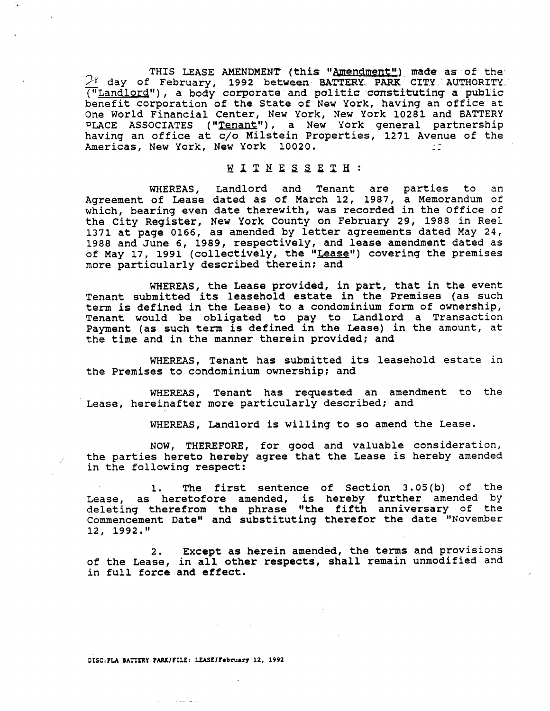THIS LEASE AMENDMENT (this "Amendment") made as of the  $2^{\gamma}$  day of February, 1992 between BATTERY PARK CITY AUTHORITY ("Landlord") , a body corporate and politic constituting a public benefit corporation of the State of New York, having an office at One World Financial Center, New York, New York 10281 and BATTERY PLACE ASSOCIATES ("Tenant"), a New York general partnership having an office at c/o Milstein Properties, 1271 Avenue of the Americas, New York, New York 10020.

## WITNESSETH:

WHEREAS, Landlord and Tenant are parties to an Agreement of Lease dated as of March 12, 1987, a Memorandum of which, bearing even date therewith, was recorded in the Office of the City Register, New York County on February 29, 1988 in Reel 1371 at page 0166, as amended by letter agreements dated May 24, 1988 and June 6, 1989, respectively, and lease amendment dated as of May 17, 1991 (collectively, the "Lease") covering the premises more particularly described therein; and

WHEREAS, the Lease provided, in part, that in the event Tenant submitted its leasehold estate in the Premises (as such term is defined in the Lease) to a condominium form of ownership, Tenant would be obligated to pay to Landlord a Transaction Payment (as such term is defined in the Lease) in the amount, at the time and in the manner therein provided; and

WHEREAS, Tenant has submitted its leasehold estate in the Premises to condominium ownership; and

WHEREAS, Tenant has requested an amendment to the Lease, hereinafter more particularly described; and

WHEREAS, Landlord is willing to so amend the Lease.

NOW, THEREFORE, for good and valuable consideration, the parties hereto hereby agree that the Lease is hereby amended in the following respect:

1. The first sentence of Section 3.05(b) of the Lease, as heretofore amended, is hereby further amended by deleting therefrom the phrase "the fifth anniversary of the Commencement Date" and substituting therefor the date "November 12, 1992."

2. Except as herein amended, the terms and provisions 2. Except as nerein amended, the terms and provisions<br>of the Lease, in all other respects, shall remain unmodified and<br>in full force and effect.

.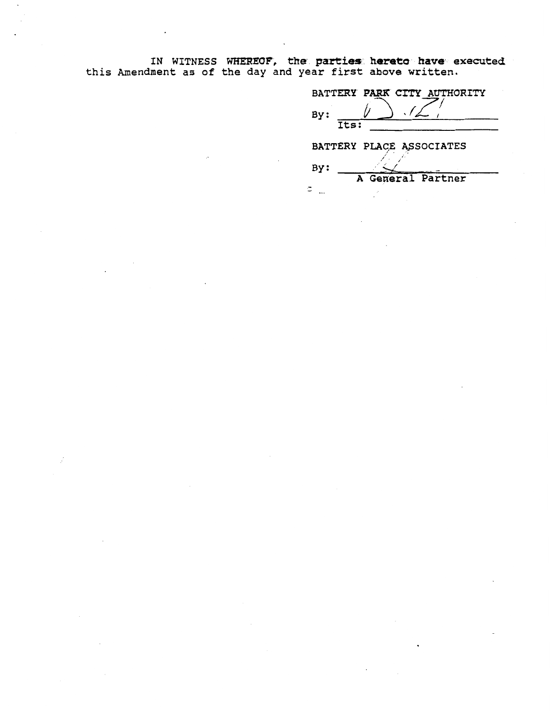IN WITNESS WHEREOF, the parties hereto have executed<br>this Amendment as of the day and year first above written.

| BATTERY PARK CITY AUTHORITY |
|-----------------------------|
| By:                         |
| $\overline{\texttt{Its}}$ : |
| BATTERY PLACE ASSOCIATES    |
| By:                         |
| A General Partner           |
|                             |